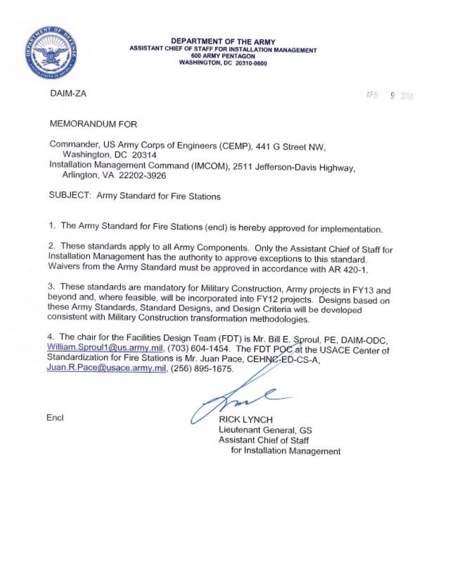

DEPARTMENT OF THE ARMY **ASSISTANT CHIEF OF STAFF FOR INSTALLATION MANAGEMENT 600 ARMY PENTAGON WASHINGTON, DC 20310-0600** 

DAIM-ZA

APH  $9,200$ 

MEMORANDUM FOR

Commander, US Army Corps of Engineers (CEMP), 441 G Street NW, Washington, DC 20314 Installation Management Command (IMCOM), 2511 Jefferson-Davis Highway, Arlington, VA 22202-3926

SUBJECT: Army Standard for Fire Stations

1. The Army Standard for Fire Stations (encl) is hereby approved for implementation.

2. These standards apply to all Army Components. Only the Assistant Chief of Staff for Installation Management has the authority to approve exceptions to this standard. Waivers from the Army Standard must be approved in accordance with AR 420-1.

3. These standards are mandatory for Military Construction, Army projects in FY13 and beyond and, where feasible, will be incorporated into FY12 projects. Designs based on these Army Standards, Standard Designs, and Design Criteria will be developed consistent with Military Construction transformation methodologies.

4. The chair for the Facilities Design Team (FDT) is Mr. Bill E. Sproul, PE, DAIM-ODC, William.Sproul1@us.army.mil, (703) 604-1454. The FDT POC at the USACE Center of Standardization for Fire Stations is Mr. Juan Pace, CEHNC-ED-CS-A, Juan.R.Pace@usace.army.mil, (256) 895-1675.

 $\ell$ son

Encl

**RICK LYNCH** Lieutenant General, GS Assistant Chief of Staff for Installation Management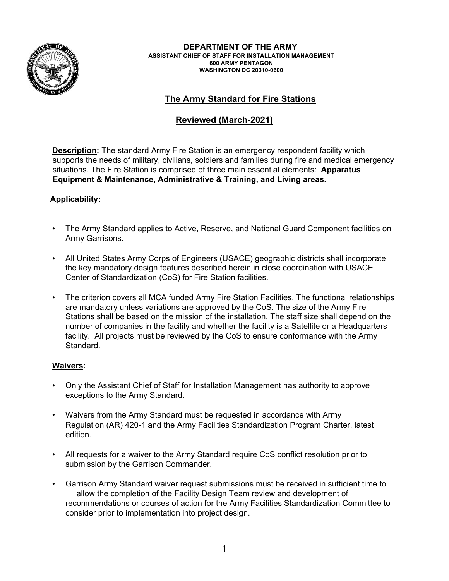

**DEPARTMENT OF THE ARMY ASSISTANT CHIEF OF STAFF FOR INSTALLATION MANAGEMENT 600 ARMY PENTAGON WASHINGTON DC 20310-0600** 

# **The Army Standard for Fire Stations**

# **Reviewed (March-2021)**

**Description:** The standard Army Fire Station is an emergency respondent facility which supports the needs of military, civilians, soldiers and families during fire and medical emergency situations. The Fire Station is comprised of three main essential elements: **Apparatus Equipment & Maintenance, Administrative & Training, and Living areas.** 

#### **Applicability:**

- The Army Standard applies to Active, Reserve, and National Guard Component facilities on Army Garrisons.
- All United States Army Corps of Engineers (USACE) geographic districts shall incorporate the key mandatory design features described herein in close coordination with USACE Center of Standardization (CoS) for Fire Station facilities.
- The criterion covers all MCA funded Army Fire Station Facilities. The functional relationships are mandatory unless variations are approved by the CoS. The size of the Army Fire Stations shall be based on the mission of the installation. The staff size shall depend on the number of companies in the facility and whether the facility is a Satellite or a Headquarters facility. All projects must be reviewed by the CoS to ensure conformance with the Army Standard.

#### **Waivers:**

- Only the Assistant Chief of Staff for Installation Management has authority to approve exceptions to the Army Standard.
- Waivers from the Army Standard must be requested in accordance with Army Regulation (AR) 420-1 and the Army Facilities Standardization Program Charter, latest edition.
- All requests for a waiver to the Army Standard require CoS conflict resolution prior to submission by the Garrison Commander.
- Garrison Army Standard waiver request submissions must be received in sufficient time to allow the completion of the Facility Design Team review and development of recommendations or courses of action for the Army Facilities Standardization Committee to consider prior to implementation into project design.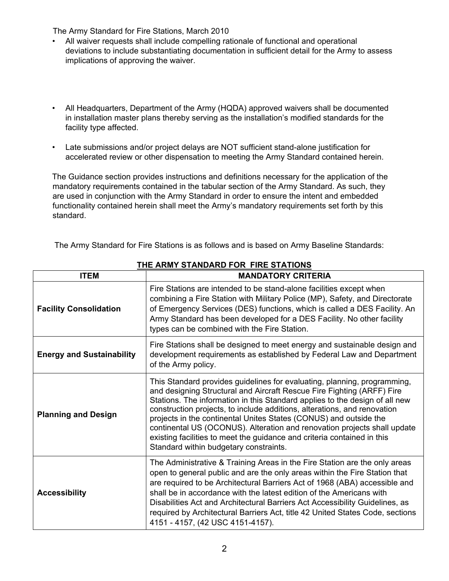- All waiver requests shall include compelling rationale of functional and operational deviations to include substantiating documentation in sufficient detail for the Army to assess implications of approving the waiver.
- All Headquarters, Department of the Army (HQDA) approved waivers shall be documented in installation master plans thereby serving as the installation's modified standards for the facility type affected.
- Late submissions and/or project delays are NOT sufficient stand-alone justification for accelerated review or other dispensation to meeting the Army Standard contained herein.

The Guidance section provides instructions and definitions necessary for the application of the mandatory requirements contained in the tabular section of the Army Standard. As such, they are used in conjunction with the Army Standard in order to ensure the intent and embedded functionality contained herein shall meet the Army's mandatory requirements set forth by this standard.

| The Army Standard for Fire Stations is as follows and is based on Army Baseline Standards: |  |
|--------------------------------------------------------------------------------------------|--|
|                                                                                            |  |

| <b>ITEM</b>                      | <b>MANDATORY CRITERIA</b>                                                                                                                                                                                                                                                                                                                                                                                                                                                                                                                                                           |  |  |
|----------------------------------|-------------------------------------------------------------------------------------------------------------------------------------------------------------------------------------------------------------------------------------------------------------------------------------------------------------------------------------------------------------------------------------------------------------------------------------------------------------------------------------------------------------------------------------------------------------------------------------|--|--|
| <b>Facility Consolidation</b>    | Fire Stations are intended to be stand-alone facilities except when<br>combining a Fire Station with Military Police (MP), Safety, and Directorate<br>of Emergency Services (DES) functions, which is called a DES Facility. An<br>Army Standard has been developed for a DES Facility. No other facility<br>types can be combined with the Fire Station.                                                                                                                                                                                                                           |  |  |
| <b>Energy and Sustainability</b> | Fire Stations shall be designed to meet energy and sustainable design and<br>development requirements as established by Federal Law and Department<br>of the Army policy.                                                                                                                                                                                                                                                                                                                                                                                                           |  |  |
| <b>Planning and Design</b>       | This Standard provides guidelines for evaluating, planning, programming,<br>and designing Structural and Aircraft Rescue Fire Fighting (ARFF) Fire<br>Stations. The information in this Standard applies to the design of all new<br>construction projects, to include additions, alterations, and renovation<br>projects in the continental Unites States (CONUS) and outside the<br>continental US (OCONUS). Alteration and renovation projects shall update<br>existing facilities to meet the guidance and criteria contained in this<br>Standard within budgetary constraints. |  |  |
| <b>Accessibility</b>             | The Administrative & Training Areas in the Fire Station are the only areas<br>open to general public and are the only areas within the Fire Station that<br>are required to be Architectural Barriers Act of 1968 (ABA) accessible and<br>shall be in accordance with the latest edition of the Americans with<br>Disabilities Act and Architectural Barriers Act Accessibility Guidelines, as<br>required by Architectural Barriers Act, title 42 United States Code, sections<br>4151 - 4157, (42 USC 4151-4157).                                                                 |  |  |

**THE ARMY STANDARD FOR FIRE STATIONS**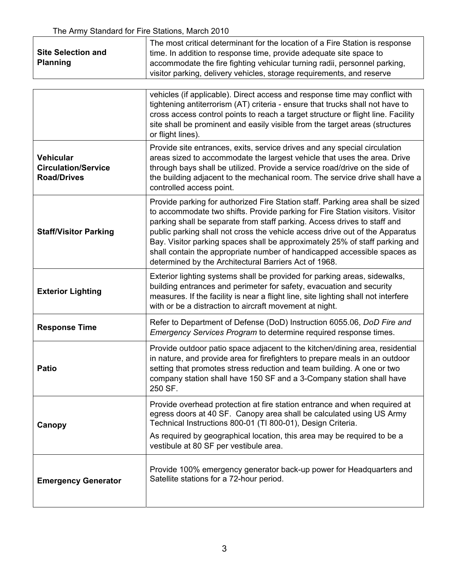|                           | The most critical determinant for the location of a Fire Station is response |  |
|---------------------------|------------------------------------------------------------------------------|--|
| <b>Site Selection and</b> | time. In addition to response time, provide adequate site space to           |  |
| <b>Planning</b>           | accommodate the fire fighting vehicular turning radii, personnel parking,    |  |
|                           | visitor parking, delivery vehicles, storage requirements, and reserve        |  |

| vehicles (if applicable). Direct access and response time may conflict with<br>tightening antiterrorism (AT) criteria - ensure that trucks shall not have to<br>cross access control points to reach a target structure or flight line. Facility<br>site shall be prominent and easily visible from the target areas (structures<br>or flight lines).                                                                                                                                                                                           |
|-------------------------------------------------------------------------------------------------------------------------------------------------------------------------------------------------------------------------------------------------------------------------------------------------------------------------------------------------------------------------------------------------------------------------------------------------------------------------------------------------------------------------------------------------|
| Provide site entrances, exits, service drives and any special circulation<br>areas sized to accommodate the largest vehicle that uses the area. Drive<br>through bays shall be utilized. Provide a service road/drive on the side of<br>the building adjacent to the mechanical room. The service drive shall have a<br>controlled access point.                                                                                                                                                                                                |
| Provide parking for authorized Fire Station staff. Parking area shall be sized<br>to accommodate two shifts. Provide parking for Fire Station visitors. Visitor<br>parking shall be separate from staff parking. Access drives to staff and<br>public parking shall not cross the vehicle access drive out of the Apparatus<br>Bay. Visitor parking spaces shall be approximately 25% of staff parking and<br>shall contain the appropriate number of handicapped accessible spaces as<br>determined by the Architectural Barriers Act of 1968. |
| Exterior lighting systems shall be provided for parking areas, sidewalks,<br>building entrances and perimeter for safety, evacuation and security<br>measures. If the facility is near a flight line, site lighting shall not interfere<br>with or be a distraction to aircraft movement at night.                                                                                                                                                                                                                                              |
| Refer to Department of Defense (DoD) Instruction 6055.06, DoD Fire and<br>Emergency Services Program to determine required response times.                                                                                                                                                                                                                                                                                                                                                                                                      |
| Provide outdoor patio space adjacent to the kitchen/dining area, residential<br>in nature, and provide area for firefighters to prepare meals in an outdoor<br>setting that promotes stress reduction and team building. A one or two<br>company station shall have 150 SF and a 3-Company station shall have<br>250 SF.                                                                                                                                                                                                                        |
| Provide overhead protection at fire station entrance and when required at<br>egress doors at 40 SF. Canopy area shall be calculated using US Army<br>Technical Instructions 800-01 (TI 800-01), Design Criteria.<br>As required by geographical location, this area may be required to be a<br>vestibule at 80 SF per vestibule area.                                                                                                                                                                                                           |
| Provide 100% emergency generator back-up power for Headquarters and<br>Satellite stations for a 72-hour period.                                                                                                                                                                                                                                                                                                                                                                                                                                 |
|                                                                                                                                                                                                                                                                                                                                                                                                                                                                                                                                                 |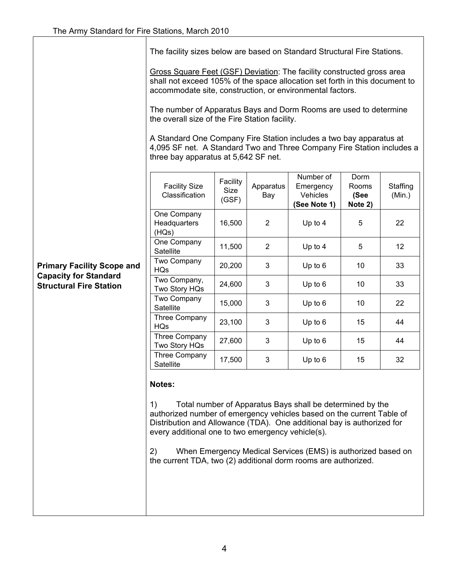The facility sizes below are based on Standard Structural Fire Stations.

Gross Square Feet (GSF) Deviation: The facility constructed gross area shall not exceed 105% of the space allocation set forth in this document to accommodate site, construction, or environmental factors.

The number of Apparatus Bays and Dorm Rooms are used to determine the overall size of the Fire Station facility.

A Standard One Company Fire Station includes a two bay apparatus at 4,095 SF net. A Standard Two and Three Company Fire Station includes a three bay apparatus at 5,642 SF net.

| <b>Facility Size</b><br>Classification | Facility<br><b>Size</b><br>(GSF) | Apparatus<br>Bay | Number of<br>Emergency<br>Vehicles<br>See Note 1) | Dorm<br>Rooms<br>(See<br>Note 2) | Staffing<br>(Min.) |
|----------------------------------------|----------------------------------|------------------|---------------------------------------------------|----------------------------------|--------------------|
| One Company<br>Headquarters<br>(HQs)   | 16,500                           | 2                | Up to 4                                           | 5                                | 22                 |
| One Company<br>Satellite               | 11,500                           | $\overline{2}$   | Up to 4                                           | 5                                | $12 \overline{ }$  |
| Two Company<br><b>HQs</b>              | 20,200                           | 3                | Up to 6                                           | 10                               | 33                 |
| Two Company,<br>Two Story HQs          | 24,600                           | 3                | Up to 6                                           | 10                               | 33                 |
| <b>Two Company</b><br>Satellite        | 15,000                           | 3                | Up to 6                                           | 10                               | 22                 |
| Three Company<br><b>HQs</b>            | 23,100                           | 3                | Up to 6                                           | 15                               | 44                 |
| <b>Three Company</b><br>Two Story HQs  | 27,600                           | 3                | Up to 6                                           | 15                               | 44                 |
| Three Company<br>Satellite             | 17,500                           | 3                | Up to $6$                                         | 15                               | 32                 |

#### **Notes:**

1) Total number of Apparatus Bays shall be determined by the authorized number of emergency vehicles based on the current Table of Distribution and Allowance (TDA). One additional bay is authorized for every additional one to two emergency vehicle(s).

2) When Emergency Medical Services (EMS) is authorized based on the current TDA, two (2) additional dorm rooms are authorized.

## **Primary Facility Scope and Capacity for Standard Structural Fire Station**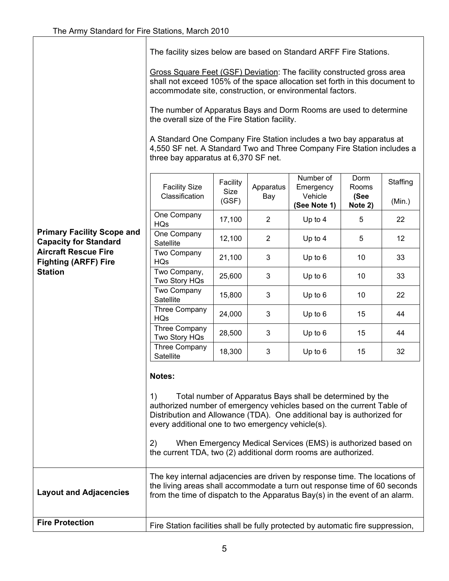The facility sizes below are based on Standard ARFF Fire Stations.

Gross Square Feet (GSF) Deviation: The facility constructed gross area shall not exceed 105% of the space allocation set forth in this document to accommodate site, construction, or environmental factors.

The number of Apparatus Bays and Dorm Rooms are used to determine the overall size of the Fire Station facility.

A Standard One Company Fire Station includes a two bay apparatus at 4,550 SF net. A Standard Two and Three Company Fire Station includes a three bay apparatus at 6,370 SF net.

|                                                                   | <b>Facility Size</b><br>Classification                                                                                                                                                                                                                                                       | Facility<br>Size<br>(GSF) | Apparatus<br>Bay | Number of<br>Emergency<br>Vehicle<br>(See Note 1)                                                                         | Dorm<br>Rooms<br>(See<br>Note 2) | Staffing<br>(Min.) |
|-------------------------------------------------------------------|----------------------------------------------------------------------------------------------------------------------------------------------------------------------------------------------------------------------------------------------------------------------------------------------|---------------------------|------------------|---------------------------------------------------------------------------------------------------------------------------|----------------------------------|--------------------|
|                                                                   | One Company<br><b>HQs</b>                                                                                                                                                                                                                                                                    | 17,100                    | $\overline{2}$   | Up to 4                                                                                                                   | 5                                | 22                 |
| <b>Primary Facility Scope and</b><br><b>Capacity for Standard</b> | One Company<br>Satellite                                                                                                                                                                                                                                                                     | 12,100                    | $\overline{2}$   | Up to 4                                                                                                                   | 5                                | 12                 |
| <b>Aircraft Rescue Fire</b><br><b>Fighting (ARFF) Fire</b>        | Two Company<br><b>HQs</b>                                                                                                                                                                                                                                                                    | 21,100                    | 3                | Up to 6                                                                                                                   | 10                               | 33                 |
| <b>Station</b>                                                    | Two Company,<br>Two Story HQs                                                                                                                                                                                                                                                                | 25,600                    | 3                | Up to 6                                                                                                                   | 10                               | 33                 |
|                                                                   | Two Company<br>Satellite                                                                                                                                                                                                                                                                     | 15,800                    | 3                | Up to 6                                                                                                                   | 10                               | 22                 |
|                                                                   | Three Company<br><b>HQs</b>                                                                                                                                                                                                                                                                  | 24,000                    | 3                | Up to 6                                                                                                                   | 15                               | 44                 |
|                                                                   | Three Company<br>Two Story HQs                                                                                                                                                                                                                                                               | 28,500                    | 3                | Up to 6                                                                                                                   | 15                               | 44                 |
|                                                                   | Three Company<br>Satellite                                                                                                                                                                                                                                                                   | 18,300                    | 3                | Up to 6                                                                                                                   | 15                               | 32                 |
|                                                                   | Notes:<br>1)<br>authorized number of emergency vehicles based on the current Table of<br>Distribution and Allowance (TDA). One additional bay is authorized for<br>every additional one to two emergency vehicle(s).<br>2)<br>the current TDA, two (2) additional dorm rooms are authorized. |                           |                  | Total number of Apparatus Bays shall be determined by the<br>When Emergency Medical Services (EMS) is authorized based on |                                  |                    |
| <b>Layout and Adjacencies</b>                                     | The key internal adjacencies are driven by response time. The locations of<br>the living areas shall accommodate a turn out response time of 60 seconds<br>from the time of dispatch to the Apparatus Bay(s) in the event of an alarm.                                                       |                           |                  |                                                                                                                           |                                  |                    |
| <b>Fire Protection</b>                                            | Fire Station facilities shall be fully protected by automatic fire suppression,                                                                                                                                                                                                              |                           |                  |                                                                                                                           |                                  |                    |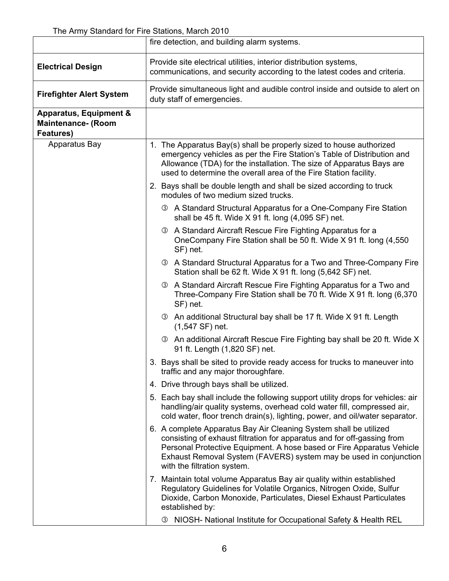|                                                                             | fire detection, and building alarm systems.                                                                                                                                                                                                                                                                               |  |  |
|-----------------------------------------------------------------------------|---------------------------------------------------------------------------------------------------------------------------------------------------------------------------------------------------------------------------------------------------------------------------------------------------------------------------|--|--|
| <b>Electrical Design</b>                                                    | Provide site electrical utilities, interior distribution systems,<br>communications, and security according to the latest codes and criteria.                                                                                                                                                                             |  |  |
| <b>Firefighter Alert System</b>                                             | Provide simultaneous light and audible control inside and outside to alert on<br>duty staff of emergencies.                                                                                                                                                                                                               |  |  |
| <b>Apparatus, Equipment &amp;</b><br><b>Maintenance- (Room</b><br>Features) |                                                                                                                                                                                                                                                                                                                           |  |  |
| Apparatus Bay                                                               | 1. The Apparatus Bay(s) shall be properly sized to house authorized<br>emergency vehicles as per the Fire Station's Table of Distribution and<br>Allowance (TDA) for the installation. The size of Apparatus Bays are<br>used to determine the overall area of the Fire Station facility.                                 |  |  |
|                                                                             | 2. Bays shall be double length and shall be sized according to truck<br>modules of two medium sized trucks.                                                                                                                                                                                                               |  |  |
|                                                                             | <b>3</b> A Standard Structural Apparatus for a One-Company Fire Station<br>shall be 45 ft. Wide X 91 ft. long (4,095 SF) net.                                                                                                                                                                                             |  |  |
|                                                                             | 3 A Standard Aircraft Rescue Fire Fighting Apparatus for a<br>OneCompany Fire Station shall be 50 ft. Wide X 91 ft. long (4,550)<br>SF) net.                                                                                                                                                                              |  |  |
|                                                                             | <b>3</b> A Standard Structural Apparatus for a Two and Three-Company Fire<br>Station shall be 62 ft. Wide X 91 ft. long (5,642 SF) net.                                                                                                                                                                                   |  |  |
|                                                                             | <b>3</b> A Standard Aircraft Rescue Fire Fighting Apparatus for a Two and<br>Three-Company Fire Station shall be 70 ft. Wide X 91 ft. long (6,370<br>SF) net.                                                                                                                                                             |  |  |
|                                                                             | <b>3</b> An additional Structural bay shall be 17 ft. Wide X 91 ft. Length<br>$(1,547 SF)$ net.                                                                                                                                                                                                                           |  |  |
|                                                                             | 3 An additional Aircraft Rescue Fire Fighting bay shall be 20 ft. Wide X<br>91 ft. Length (1,820 SF) net.                                                                                                                                                                                                                 |  |  |
|                                                                             | Bays shall be sited to provide ready access for trucks to maneuver into<br>traffic and any major thoroughfare.                                                                                                                                                                                                            |  |  |
|                                                                             | 4. Drive through bays shall be utilized.                                                                                                                                                                                                                                                                                  |  |  |
|                                                                             | 5. Each bay shall include the following support utility drops for vehicles: air<br>handling/air quality systems, overhead cold water fill, compressed air,<br>cold water, floor trench drain(s), lighting, power, and oil/water separator.                                                                                |  |  |
|                                                                             | 6. A complete Apparatus Bay Air Cleaning System shall be utilized<br>consisting of exhaust filtration for apparatus and for off-gassing from<br>Personal Protective Equipment. A hose based or Fire Apparatus Vehicle<br>Exhaust Removal System (FAVERS) system may be used in conjunction<br>with the filtration system. |  |  |
|                                                                             | 7. Maintain total volume Apparatus Bay air quality within established<br>Regulatory Guidelines for Volatile Organics, Nitrogen Oxide, Sulfur<br>Dioxide, Carbon Monoxide, Particulates, Diesel Exhaust Particulates<br>established by:                                                                                    |  |  |
|                                                                             | NIOSH- National Institute for Occupational Safety & Health REL<br>(3)                                                                                                                                                                                                                                                     |  |  |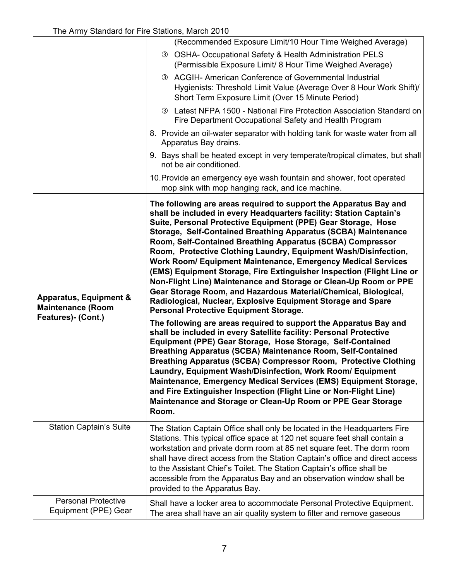|                                                                                     | (Recommended Exposure Limit/10 Hour Time Weighed Average)                                                                                                                                                                                                                                                                                                                                                                                                                                                                                                                                                                                                                                                                                                                                                                                                                                                                                                                                                                                                                                                                                                                                                                                                                                                                                                                                                                                |
|-------------------------------------------------------------------------------------|------------------------------------------------------------------------------------------------------------------------------------------------------------------------------------------------------------------------------------------------------------------------------------------------------------------------------------------------------------------------------------------------------------------------------------------------------------------------------------------------------------------------------------------------------------------------------------------------------------------------------------------------------------------------------------------------------------------------------------------------------------------------------------------------------------------------------------------------------------------------------------------------------------------------------------------------------------------------------------------------------------------------------------------------------------------------------------------------------------------------------------------------------------------------------------------------------------------------------------------------------------------------------------------------------------------------------------------------------------------------------------------------------------------------------------------|
|                                                                                     | <b>3 OSHA- Occupational Safety &amp; Health Administration PELS</b><br>(Permissible Exposure Limit/ 8 Hour Time Weighed Average)                                                                                                                                                                                                                                                                                                                                                                                                                                                                                                                                                                                                                                                                                                                                                                                                                                                                                                                                                                                                                                                                                                                                                                                                                                                                                                         |
|                                                                                     | 3 ACGIH- American Conference of Governmental Industrial<br>Hygienists: Threshold Limit Value (Average Over 8 Hour Work Shift)/<br>Short Term Exposure Limit (Over 15 Minute Period)                                                                                                                                                                                                                                                                                                                                                                                                                                                                                                                                                                                                                                                                                                                                                                                                                                                                                                                                                                                                                                                                                                                                                                                                                                                      |
|                                                                                     | <b>3</b> Latest NFPA 1500 - National Fire Protection Association Standard on<br>Fire Department Occupational Safety and Health Program                                                                                                                                                                                                                                                                                                                                                                                                                                                                                                                                                                                                                                                                                                                                                                                                                                                                                                                                                                                                                                                                                                                                                                                                                                                                                                   |
|                                                                                     | 8. Provide an oil-water separator with holding tank for waste water from all<br>Apparatus Bay drains.                                                                                                                                                                                                                                                                                                                                                                                                                                                                                                                                                                                                                                                                                                                                                                                                                                                                                                                                                                                                                                                                                                                                                                                                                                                                                                                                    |
|                                                                                     | 9. Bays shall be heated except in very temperate/tropical climates, but shall<br>not be air conditioned.                                                                                                                                                                                                                                                                                                                                                                                                                                                                                                                                                                                                                                                                                                                                                                                                                                                                                                                                                                                                                                                                                                                                                                                                                                                                                                                                 |
|                                                                                     | 10. Provide an emergency eye wash fountain and shower, foot operated<br>mop sink with mop hanging rack, and ice machine.                                                                                                                                                                                                                                                                                                                                                                                                                                                                                                                                                                                                                                                                                                                                                                                                                                                                                                                                                                                                                                                                                                                                                                                                                                                                                                                 |
| <b>Apparatus, Equipment &amp;</b><br><b>Maintenance (Room</b><br>Features)- (Cont.) | The following are areas required to support the Apparatus Bay and<br>shall be included in every Headquarters facility: Station Captain's<br>Suite, Personal Protective Equipment (PPE) Gear Storage, Hose<br>Storage, Self-Contained Breathing Apparatus (SCBA) Maintenance<br>Room, Self-Contained Breathing Apparatus (SCBA) Compressor<br>Room, Protective Clothing Laundry, Equipment Wash/Disinfection,<br>Work Room/ Equipment Maintenance, Emergency Medical Services<br>(EMS) Equipment Storage, Fire Extinguisher Inspection (Flight Line or<br>Non-Flight Line) Maintenance and Storage or Clean-Up Room or PPE<br>Gear Storage Room, and Hazardous Material/Chemical, Biological,<br>Radiological, Nuclear, Explosive Equipment Storage and Spare<br><b>Personal Protective Equipment Storage.</b><br>The following are areas required to support the Apparatus Bay and<br>shall be included in every Satellite facility: Personal Protective<br>Equipment (PPE) Gear Storage, Hose Storage, Self-Contained<br>Breathing Apparatus (SCBA) Maintenance Room, Self-Contained<br>Breathing Apparatus (SCBA) Compressor Room, Protective Clothing<br>Laundry, Equipment Wash/Disinfection, Work Room/ Equipment<br>Maintenance, Emergency Medical Services (EMS) Equipment Storage,<br>and Fire Extinguisher Inspection (Flight Line or Non-Flight Line)<br>Maintenance and Storage or Clean-Up Room or PPE Gear Storage<br>Room. |
| <b>Station Captain's Suite</b>                                                      | The Station Captain Office shall only be located in the Headquarters Fire<br>Stations. This typical office space at 120 net square feet shall contain a<br>workstation and private dorm room at 85 net square feet. The dorm room<br>shall have direct access from the Station Captain's office and direct access<br>to the Assistant Chief's Toilet. The Station Captain's office shall be<br>accessible from the Apparatus Bay and an observation window shall be<br>provided to the Apparatus Bay.                                                                                                                                                                                                                                                                                                                                                                                                                                                                                                                                                                                                                                                                                                                                                                                                                                                                                                                                    |
| <b>Personal Protective</b><br>Equipment (PPE) Gear                                  | Shall have a locker area to accommodate Personal Protective Equipment.<br>The area shall have an air quality system to filter and remove gaseous                                                                                                                                                                                                                                                                                                                                                                                                                                                                                                                                                                                                                                                                                                                                                                                                                                                                                                                                                                                                                                                                                                                                                                                                                                                                                         |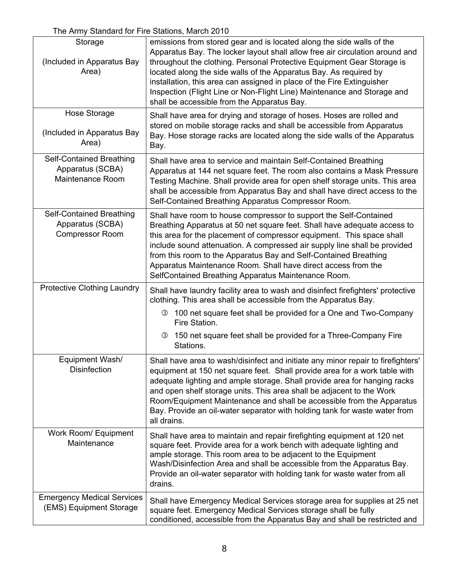| Storage<br>(Included in Apparatus Bay<br>Area)                         | emissions from stored gear and is located along the side walls of the<br>Apparatus Bay. The locker layout shall allow free air circulation around and<br>throughout the clothing. Personal Protective Equipment Gear Storage is<br>located along the side walls of the Apparatus Bay. As required by<br>installation, this area can assigned in place of the Fire Extinguisher<br>Inspection (Flight Line or Non-Flight Line) Maintenance and Storage and<br>shall be accessible from the Apparatus Bay. |
|------------------------------------------------------------------------|----------------------------------------------------------------------------------------------------------------------------------------------------------------------------------------------------------------------------------------------------------------------------------------------------------------------------------------------------------------------------------------------------------------------------------------------------------------------------------------------------------|
| Hose Storage<br>(Included in Apparatus Bay<br>Area)                    | Shall have area for drying and storage of hoses. Hoses are rolled and<br>stored on mobile storage racks and shall be accessible from Apparatus<br>Bay. Hose storage racks are located along the side walls of the Apparatus<br>Bay.                                                                                                                                                                                                                                                                      |
| Self-Contained Breathing<br>Apparatus (SCBA)<br>Maintenance Room       | Shall have area to service and maintain Self-Contained Breathing<br>Apparatus at 144 net square feet. The room also contains a Mask Pressure<br>Testing Machine. Shall provide area for open shelf storage units. This area<br>shall be accessible from Apparatus Bay and shall have direct access to the<br>Self-Contained Breathing Apparatus Compressor Room.                                                                                                                                         |
| Self-Contained Breathing<br>Apparatus (SCBA)<br><b>Compressor Room</b> | Shall have room to house compressor to support the Self-Contained<br>Breathing Apparatus at 50 net square feet. Shall have adequate access to<br>this area for the placement of compressor equipment. This space shall<br>include sound attenuation. A compressed air supply line shall be provided<br>from this room to the Apparatus Bay and Self-Contained Breathing<br>Apparatus Maintenance Room. Shall have direct access from the<br>SelfContained Breathing Apparatus Maintenance Room.          |
| <b>Protective Clothing Laundry</b>                                     | Shall have laundry facility area to wash and disinfect firefighters' protective<br>clothing. This area shall be accessible from the Apparatus Bay.<br>3 100 net square feet shall be provided for a One and Two-Company<br>Fire Station.                                                                                                                                                                                                                                                                 |
|                                                                        | 3 150 net square feet shall be provided for a Three-Company Fire<br>Stations.                                                                                                                                                                                                                                                                                                                                                                                                                            |
| Equipment Wash/<br><b>Disinfection</b>                                 | Shall have area to wash/disinfect and initiate any minor repair to firefighters'<br>equipment at 150 net square feet. Shall provide area for a work table with<br>adequate lighting and ample storage. Shall provide area for hanging racks<br>and open shelf storage units. This area shall be adjacent to the Work<br>Room/Equipment Maintenance and shall be accessible from the Apparatus<br>Bay. Provide an oil-water separator with holding tank for waste water from<br>all drains.               |
| Work Room/ Equipment<br>Maintenance                                    | Shall have area to maintain and repair firefighting equipment at 120 net<br>square feet. Provide area for a work bench with adequate lighting and<br>ample storage. This room area to be adjacent to the Equipment<br>Wash/Disinfection Area and shall be accessible from the Apparatus Bay.<br>Provide an oil-water separator with holding tank for waste water from all<br>drains.                                                                                                                     |
| <b>Emergency Medical Services</b><br>(EMS) Equipment Storage           | Shall have Emergency Medical Services storage area for supplies at 25 net<br>square feet. Emergency Medical Services storage shall be fully<br>conditioned, accessible from the Apparatus Bay and shall be restricted and                                                                                                                                                                                                                                                                                |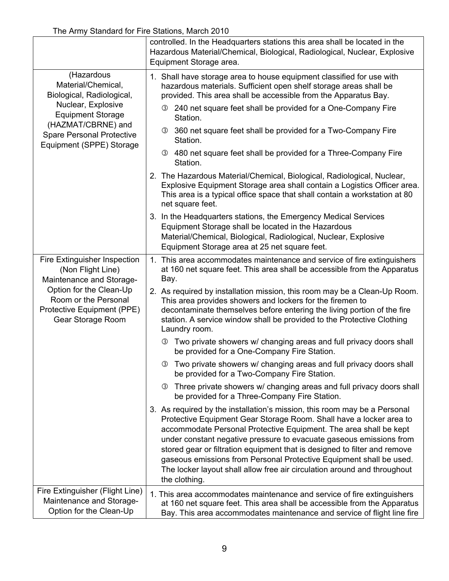|                                                                                                                                                                                     | controlled. In the Headquarters stations this area shall be located in the<br>Hazardous Material/Chemical, Biological, Radiological, Nuclear, Explosive<br>Equipment Storage area.                                                                                                                                                                                                                                                                                                                                                            |  |  |
|-------------------------------------------------------------------------------------------------------------------------------------------------------------------------------------|-----------------------------------------------------------------------------------------------------------------------------------------------------------------------------------------------------------------------------------------------------------------------------------------------------------------------------------------------------------------------------------------------------------------------------------------------------------------------------------------------------------------------------------------------|--|--|
| (Hazardous<br>Material/Chemical,<br>Biological, Radiological,<br>Nuclear, Explosive                                                                                                 | 1. Shall have storage area to house equipment classified for use with<br>hazardous materials. Sufficient open shelf storage areas shall be<br>provided. This area shall be accessible from the Apparatus Bay.                                                                                                                                                                                                                                                                                                                                 |  |  |
| <b>Equipment Storage</b><br>(HAZMAT/CBRNE) and                                                                                                                                      | 3 240 net square feet shall be provided for a One-Company Fire<br>Station.                                                                                                                                                                                                                                                                                                                                                                                                                                                                    |  |  |
| <b>Spare Personal Protective</b><br>Equipment (SPPE) Storage                                                                                                                        | 3 360 net square feet shall be provided for a Two-Company Fire<br>Station.                                                                                                                                                                                                                                                                                                                                                                                                                                                                    |  |  |
|                                                                                                                                                                                     | 3 480 net square feet shall be provided for a Three-Company Fire<br>Station.                                                                                                                                                                                                                                                                                                                                                                                                                                                                  |  |  |
|                                                                                                                                                                                     | 2. The Hazardous Material/Chemical, Biological, Radiological, Nuclear,<br>Explosive Equipment Storage area shall contain a Logistics Officer area.<br>This area is a typical office space that shall contain a workstation at 80<br>net square feet.                                                                                                                                                                                                                                                                                          |  |  |
|                                                                                                                                                                                     | 3. In the Headquarters stations, the Emergency Medical Services<br>Equipment Storage shall be located in the Hazardous                                                                                                                                                                                                                                                                                                                                                                                                                        |  |  |
|                                                                                                                                                                                     | Material/Chemical, Biological, Radiological, Nuclear, Explosive<br>Equipment Storage area at 25 net square feet.                                                                                                                                                                                                                                                                                                                                                                                                                              |  |  |
| Fire Extinguisher Inspection<br>(Non Flight Line)<br>Maintenance and Storage-<br>Option for the Clean-Up<br>Room or the Personal<br>Protective Equipment (PPE)<br>Gear Storage Room | 1. This area accommodates maintenance and service of fire extinguishers<br>at 160 net square feet. This area shall be accessible from the Apparatus<br>Bay.                                                                                                                                                                                                                                                                                                                                                                                   |  |  |
|                                                                                                                                                                                     | 2. As required by installation mission, this room may be a Clean-Up Room.<br>This area provides showers and lockers for the firemen to<br>decontaminate themselves before entering the living portion of the fire<br>station. A service window shall be provided to the Protective Clothing<br>Laundry room.                                                                                                                                                                                                                                  |  |  |
|                                                                                                                                                                                     | <b>3</b> Two private showers w/ changing areas and full privacy doors shall<br>be provided for a One-Company Fire Station.                                                                                                                                                                                                                                                                                                                                                                                                                    |  |  |
|                                                                                                                                                                                     | 3 Two private showers w/ changing areas and full privacy doors shall<br>be provided for a Two-Company Fire Station.                                                                                                                                                                                                                                                                                                                                                                                                                           |  |  |
|                                                                                                                                                                                     | <b>3</b> Three private showers w/ changing areas and full privacy doors shall<br>be provided for a Three-Company Fire Station.                                                                                                                                                                                                                                                                                                                                                                                                                |  |  |
|                                                                                                                                                                                     | 3. As required by the installation's mission, this room may be a Personal<br>Protective Equipment Gear Storage Room. Shall have a locker area to<br>accommodate Personal Protective Equipment. The area shall be kept<br>under constant negative pressure to evacuate gaseous emissions from<br>stored gear or filtration equipment that is designed to filter and remove<br>gaseous emissions from Personal Protective Equipment shall be used.<br>The locker layout shall allow free air circulation around and throughout<br>the clothing. |  |  |
| Fire Extinguisher (Flight Line)<br>Maintenance and Storage-<br>Option for the Clean-Up                                                                                              | 1. This area accommodates maintenance and service of fire extinguishers<br>at 160 net square feet. This area shall be accessible from the Apparatus<br>Bay. This area accommodates maintenance and service of flight line fire                                                                                                                                                                                                                                                                                                                |  |  |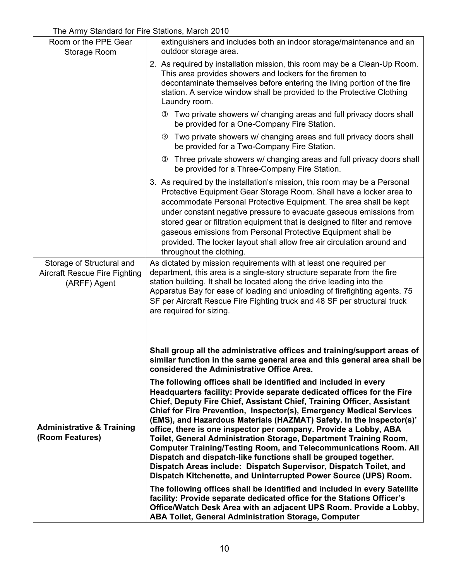| Room or the PPE Gear<br>Storage Room                                              | extinguishers and includes both an indoor storage/maintenance and an<br>outdoor storage area.                                                                                                                                                                                                                                                                                                                                                                                                                                                                                                                                                                                                                                                                                                      |
|-----------------------------------------------------------------------------------|----------------------------------------------------------------------------------------------------------------------------------------------------------------------------------------------------------------------------------------------------------------------------------------------------------------------------------------------------------------------------------------------------------------------------------------------------------------------------------------------------------------------------------------------------------------------------------------------------------------------------------------------------------------------------------------------------------------------------------------------------------------------------------------------------|
|                                                                                   | 2. As required by installation mission, this room may be a Clean-Up Room.<br>This area provides showers and lockers for the firemen to<br>decontaminate themselves before entering the living portion of the fire<br>station. A service window shall be provided to the Protective Clothing<br>Laundry room.                                                                                                                                                                                                                                                                                                                                                                                                                                                                                       |
|                                                                                   | <b>3</b> Two private showers w/ changing areas and full privacy doors shall<br>be provided for a One-Company Fire Station.                                                                                                                                                                                                                                                                                                                                                                                                                                                                                                                                                                                                                                                                         |
|                                                                                   | <b>3</b> Two private showers w/ changing areas and full privacy doors shall<br>be provided for a Two-Company Fire Station.                                                                                                                                                                                                                                                                                                                                                                                                                                                                                                                                                                                                                                                                         |
|                                                                                   | <b>3</b> Three private showers w/ changing areas and full privacy doors shall<br>be provided for a Three-Company Fire Station.                                                                                                                                                                                                                                                                                                                                                                                                                                                                                                                                                                                                                                                                     |
|                                                                                   | 3. As required by the installation's mission, this room may be a Personal<br>Protective Equipment Gear Storage Room. Shall have a locker area to<br>accommodate Personal Protective Equipment. The area shall be kept<br>under constant negative pressure to evacuate gaseous emissions from<br>stored gear or filtration equipment that is designed to filter and remove<br>gaseous emissions from Personal Protective Equipment shall be<br>provided. The locker layout shall allow free air circulation around and<br>throughout the clothing.                                                                                                                                                                                                                                                  |
| Storage of Structural and<br><b>Aircraft Rescue Fire Fighting</b><br>(ARFF) Agent | As dictated by mission requirements with at least one required per<br>department, this area is a single-story structure separate from the fire<br>station building. It shall be located along the drive leading into the<br>Apparatus Bay for ease of loading and unloading of firefighting agents. 75<br>SF per Aircraft Rescue Fire Fighting truck and 48 SF per structural truck<br>are required for sizing.                                                                                                                                                                                                                                                                                                                                                                                    |
|                                                                                   | Shall group all the administrative offices and training/support areas of<br>similar function in the same general area and this general area shall be<br>considered the Administrative Office Area.                                                                                                                                                                                                                                                                                                                                                                                                                                                                                                                                                                                                 |
| <b>Administrative &amp; Training</b><br>(Room Features)                           | The following offices shall be identified and included in every<br>Headquarters facility: Provide separate dedicated offices for the Fire<br>Chief, Deputy Fire Chief, Assistant Chief, Training Officer, Assistant<br>Chief for Fire Prevention, Inspector(s), Emergency Medical Services<br>(EMS), and Hazardous Materials (HAZMAT) Safety. In the Inspector(s)'<br>office, there is one inspector per company. Provide a Lobby, ABA<br>Toilet, General Administration Storage, Department Training Room,<br><b>Computer Training/Testing Room, and Telecommunications Room. All</b><br>Dispatch and dispatch-like functions shall be grouped together.<br>Dispatch Areas include: Dispatch Supervisor, Dispatch Toilet, and<br>Dispatch Kitchenette, and Uninterrupted Power Source (UPS) Room. |
|                                                                                   | The following offices shall be identified and included in every Satellite<br>facility: Provide separate dedicated office for the Stations Officer's<br>Office/Watch Desk Area with an adjacent UPS Room. Provide a Lobby,<br><b>ABA Toilet, General Administration Storage, Computer</b>                                                                                                                                                                                                                                                                                                                                                                                                                                                                                                           |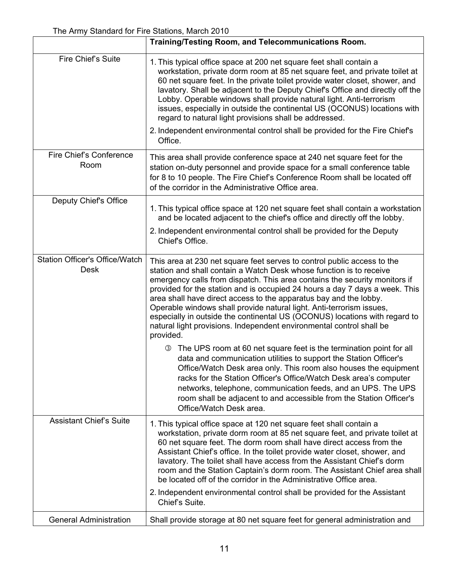|                                                      | Training/Testing Room, and Telecommunications Room.                                                                                                                                                                                                                                                                                                                                                                                                                                                                                                                                                                         |
|------------------------------------------------------|-----------------------------------------------------------------------------------------------------------------------------------------------------------------------------------------------------------------------------------------------------------------------------------------------------------------------------------------------------------------------------------------------------------------------------------------------------------------------------------------------------------------------------------------------------------------------------------------------------------------------------|
| Fire Chief's Suite                                   | 1. This typical office space at 200 net square feet shall contain a<br>workstation, private dorm room at 85 net square feet, and private toilet at<br>60 net square feet. In the private toilet provide water closet, shower, and<br>lavatory. Shall be adjacent to the Deputy Chief's Office and directly off the<br>Lobby. Operable windows shall provide natural light. Anti-terrorism<br>issues, especially in outside the continental US (OCONUS) locations with<br>regard to natural light provisions shall be addressed.                                                                                             |
|                                                      | 2. Independent environmental control shall be provided for the Fire Chief's<br>Office.                                                                                                                                                                                                                                                                                                                                                                                                                                                                                                                                      |
| Fire Chief's Conference<br>Room                      | This area shall provide conference space at 240 net square feet for the<br>station on-duty personnel and provide space for a small conference table<br>for 8 to 10 people. The Fire Chief's Conference Room shall be located off<br>of the corridor in the Administrative Office area.                                                                                                                                                                                                                                                                                                                                      |
| Deputy Chief's Office                                | 1. This typical office space at 120 net square feet shall contain a workstation<br>and be located adjacent to the chief's office and directly off the lobby.                                                                                                                                                                                                                                                                                                                                                                                                                                                                |
|                                                      | 2. Independent environmental control shall be provided for the Deputy<br>Chief's Office.                                                                                                                                                                                                                                                                                                                                                                                                                                                                                                                                    |
| <b>Station Officer's Office/Watch</b><br><b>Desk</b> | This area at 230 net square feet serves to control public access to the<br>station and shall contain a Watch Desk whose function is to receive<br>emergency calls from dispatch. This area contains the security monitors if<br>provided for the station and is occupied 24 hours a day 7 days a week. This<br>area shall have direct access to the apparatus bay and the lobby.<br>Operable windows shall provide natural light. Anti-terrorism issues,<br>especially in outside the continental US (OCONUS) locations with regard to<br>natural light provisions. Independent environmental control shall be<br>provided. |
|                                                      | The UPS room at 60 net square feet is the termination point for all<br>(3)<br>data and communication utilities to support the Station Officer's<br>Office/Watch Desk area only. This room also houses the equipment<br>racks for the Station Officer's Office/Watch Desk area's computer<br>networks, telephone, communication feeds, and an UPS. The UPS<br>room shall be adjacent to and accessible from the Station Officer's<br>Office/Watch Desk area.                                                                                                                                                                 |
| <b>Assistant Chief's Suite</b>                       | 1. This typical office space at 120 net square feet shall contain a<br>workstation, private dorm room at 85 net square feet, and private toilet at<br>60 net square feet. The dorm room shall have direct access from the<br>Assistant Chief's office. In the toilet provide water closet, shower, and<br>lavatory. The toilet shall have access from the Assistant Chief's dorm<br>room and the Station Captain's dorm room. The Assistant Chief area shall<br>be located off of the corridor in the Administrative Office area.                                                                                           |
|                                                      | 2. Independent environmental control shall be provided for the Assistant<br>Chief's Suite.                                                                                                                                                                                                                                                                                                                                                                                                                                                                                                                                  |
| <b>General Administration</b>                        | Shall provide storage at 80 net square feet for general administration and                                                                                                                                                                                                                                                                                                                                                                                                                                                                                                                                                  |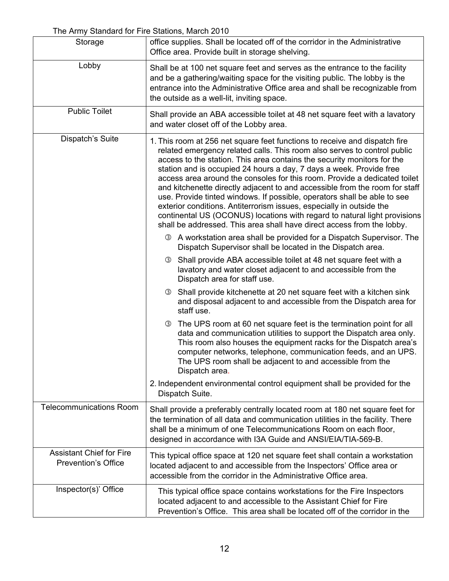| Storage                                                       | office supplies. Shall be located off of the corridor in the Administrative<br>Office area. Provide built in storage shelving.                                                                                                                                                                                                                                                                                                                                                                                                                                                                                                                                                                                                                                                  |  |
|---------------------------------------------------------------|---------------------------------------------------------------------------------------------------------------------------------------------------------------------------------------------------------------------------------------------------------------------------------------------------------------------------------------------------------------------------------------------------------------------------------------------------------------------------------------------------------------------------------------------------------------------------------------------------------------------------------------------------------------------------------------------------------------------------------------------------------------------------------|--|
| Lobby                                                         | Shall be at 100 net square feet and serves as the entrance to the facility<br>and be a gathering/waiting space for the visiting public. The lobby is the<br>entrance into the Administrative Office area and shall be recognizable from<br>the outside as a well-lit, inviting space.                                                                                                                                                                                                                                                                                                                                                                                                                                                                                           |  |
| <b>Public Toilet</b>                                          | Shall provide an ABA accessible toilet at 48 net square feet with a lavatory<br>and water closet off of the Lobby area.                                                                                                                                                                                                                                                                                                                                                                                                                                                                                                                                                                                                                                                         |  |
| Dispatch's Suite                                              | 1. This room at 256 net square feet functions to receive and dispatch fire<br>related emergency related calls. This room also serves to control public<br>access to the station. This area contains the security monitors for the<br>station and is occupied 24 hours a day, 7 days a week. Provide free<br>access area around the consoles for this room. Provide a dedicated toilet<br>and kitchenette directly adjacent to and accessible from the room for staff<br>use. Provide tinted windows. If possible, operators shall be able to see<br>exterior conditions. Antiterrorism issues, especially in outside the<br>continental US (OCONUS) locations with regard to natural light provisions<br>shall be addressed. This area shall have direct access from the lobby. |  |
|                                                               | <b>3</b> A workstation area shall be provided for a Dispatch Supervisor. The<br>Dispatch Supervisor shall be located in the Dispatch area.                                                                                                                                                                                                                                                                                                                                                                                                                                                                                                                                                                                                                                      |  |
|                                                               | Shall provide ABA accessible toilet at 48 net square feet with a<br>$\circled{3}$<br>lavatory and water closet adjacent to and accessible from the<br>Dispatch area for staff use.                                                                                                                                                                                                                                                                                                                                                                                                                                                                                                                                                                                              |  |
|                                                               | Shall provide kitchenette at 20 net square feet with a kitchen sink<br>(3)<br>and disposal adjacent to and accessible from the Dispatch area for<br>staff use.                                                                                                                                                                                                                                                                                                                                                                                                                                                                                                                                                                                                                  |  |
|                                                               | The UPS room at 60 net square feet is the termination point for all<br>(3)<br>data and communication utilities to support the Dispatch area only.<br>This room also houses the equipment racks for the Dispatch area's<br>computer networks, telephone, communication feeds, and an UPS.<br>The UPS room shall be adjacent to and accessible from the<br>Dispatch area.                                                                                                                                                                                                                                                                                                                                                                                                         |  |
|                                                               | 2. Independent environmental control equipment shall be provided for the<br>Dispatch Suite.                                                                                                                                                                                                                                                                                                                                                                                                                                                                                                                                                                                                                                                                                     |  |
| <b>Telecommunications Room</b>                                | Shall provide a preferably centrally located room at 180 net square feet for<br>the termination of all data and communication utilities in the facility. There<br>shall be a minimum of one Telecommunications Room on each floor,<br>designed in accordance with I3A Guide and ANSI/EIA/TIA-569-B.                                                                                                                                                                                                                                                                                                                                                                                                                                                                             |  |
| <b>Assistant Chief for Fire</b><br><b>Prevention's Office</b> | This typical office space at 120 net square feet shall contain a workstation<br>located adjacent to and accessible from the Inspectors' Office area or<br>accessible from the corridor in the Administrative Office area.                                                                                                                                                                                                                                                                                                                                                                                                                                                                                                                                                       |  |
| Inspector(s)' Office                                          | This typical office space contains workstations for the Fire Inspectors<br>located adjacent to and accessible to the Assistant Chief for Fire<br>Prevention's Office. This area shall be located off of the corridor in the                                                                                                                                                                                                                                                                                                                                                                                                                                                                                                                                                     |  |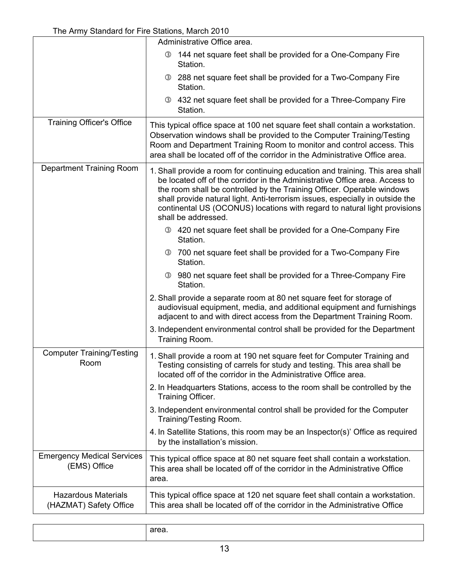|                                                      | Administrative Office area.                                                                                                                                                                                                                                                                                                                                                                                                  |
|------------------------------------------------------|------------------------------------------------------------------------------------------------------------------------------------------------------------------------------------------------------------------------------------------------------------------------------------------------------------------------------------------------------------------------------------------------------------------------------|
|                                                      | 144 net square feet shall be provided for a One-Company Fire<br>③<br>Station.                                                                                                                                                                                                                                                                                                                                                |
|                                                      | 288 net square feet shall be provided for a Two-Company Fire<br>$\circled{3}$<br>Station.                                                                                                                                                                                                                                                                                                                                    |
|                                                      | 3 432 net square feet shall be provided for a Three-Company Fire<br>Station.                                                                                                                                                                                                                                                                                                                                                 |
| <b>Training Officer's Office</b>                     | This typical office space at 100 net square feet shall contain a workstation.<br>Observation windows shall be provided to the Computer Training/Testing<br>Room and Department Training Room to monitor and control access. This<br>area shall be located off of the corridor in the Administrative Office area.                                                                                                             |
| <b>Department Training Room</b>                      | 1. Shall provide a room for continuing education and training. This area shall<br>be located off of the corridor in the Administrative Office area. Access to<br>the room shall be controlled by the Training Officer. Operable windows<br>shall provide natural light. Anti-terrorism issues, especially in outside the<br>continental US (OCONUS) locations with regard to natural light provisions<br>shall be addressed. |
|                                                      | 3 420 net square feet shall be provided for a One-Company Fire<br>Station.                                                                                                                                                                                                                                                                                                                                                   |
|                                                      | 700 net square feet shall be provided for a Two-Company Fire<br>$\circled{3}$<br>Station.                                                                                                                                                                                                                                                                                                                                    |
|                                                      | 980 net square feet shall be provided for a Three-Company Fire<br>$\circled{3}$<br>Station.                                                                                                                                                                                                                                                                                                                                  |
|                                                      | 2. Shall provide a separate room at 80 net square feet for storage of<br>audiovisual equipment, media, and additional equipment and furnishings<br>adjacent to and with direct access from the Department Training Room.                                                                                                                                                                                                     |
|                                                      | 3. Independent environmental control shall be provided for the Department<br>Training Room.                                                                                                                                                                                                                                                                                                                                  |
| <b>Computer Training/Testing</b><br>Room             | 1. Shall provide a room at 190 net square feet for Computer Training and<br>Testing consisting of carrels for study and testing. This area shall be<br>located off of the corridor in the Administrative Office area.                                                                                                                                                                                                        |
|                                                      | 2. In Headquarters Stations, access to the room shall be controlled by the<br>Training Officer.                                                                                                                                                                                                                                                                                                                              |
|                                                      | 3. Independent environmental control shall be provided for the Computer<br>Training/Testing Room.                                                                                                                                                                                                                                                                                                                            |
|                                                      | 4. In Satellite Stations, this room may be an Inspector(s)' Office as required<br>by the installation's mission.                                                                                                                                                                                                                                                                                                             |
| <b>Emergency Medical Services</b><br>(EMS) Office    | This typical office space at 80 net square feet shall contain a workstation.<br>This area shall be located off of the corridor in the Administrative Office<br>area.                                                                                                                                                                                                                                                         |
| <b>Hazardous Materials</b><br>(HAZMAT) Safety Office | This typical office space at 120 net square feet shall contain a workstation.<br>This area shall be located off of the corridor in the Administrative Office                                                                                                                                                                                                                                                                 |

| $  -$ |
|-------|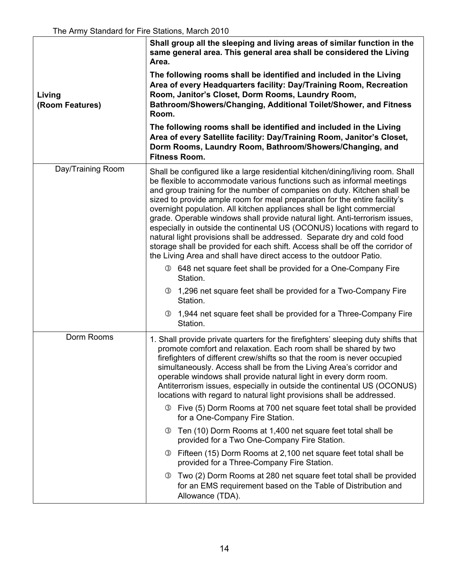| Living<br>(Room Features) | Shall group all the sleeping and living areas of similar function in the<br>same general area. This general area shall be considered the Living<br>Area.<br>The following rooms shall be identified and included in the Living<br>Area of every Headquarters facility: Day/Training Room, Recreation<br>Room, Janitor's Closet, Dorm Rooms, Laundry Room,<br>Bathroom/Showers/Changing, Additional Toilet/Shower, and Fitness<br>Room.<br>The following rooms shall be identified and included in the Living<br>Area of every Satellite facility: Day/Training Room, Janitor's Closet,<br>Dorm Rooms, Laundry Room, Bathroom/Showers/Changing, and<br><b>Fitness Room.</b>                                                                                                                  |  |
|---------------------------|---------------------------------------------------------------------------------------------------------------------------------------------------------------------------------------------------------------------------------------------------------------------------------------------------------------------------------------------------------------------------------------------------------------------------------------------------------------------------------------------------------------------------------------------------------------------------------------------------------------------------------------------------------------------------------------------------------------------------------------------------------------------------------------------|--|
| Day/Training Room         | Shall be configured like a large residential kitchen/dining/living room. Shall<br>be flexible to accommodate various functions such as informal meetings<br>and group training for the number of companies on duty. Kitchen shall be<br>sized to provide ample room for meal preparation for the entire facility's<br>overnight population. All kitchen appliances shall be light commercial<br>grade. Operable windows shall provide natural light. Anti-terrorism issues,<br>especially in outside the continental US (OCONUS) locations with regard to<br>natural light provisions shall be addressed. Separate dry and cold food<br>storage shall be provided for each shift. Access shall be off the corridor of<br>the Living Area and shall have direct access to the outdoor Patio. |  |
|                           | <b>3</b> 648 net square feet shall be provided for a One-Company Fire<br>Station.<br>3 1,296 net square feet shall be provided for a Two-Company Fire<br>Station.<br>1,944 net square feet shall be provided for a Three-Company Fire<br>$\circled{3}$                                                                                                                                                                                                                                                                                                                                                                                                                                                                                                                                      |  |
|                           | Station.                                                                                                                                                                                                                                                                                                                                                                                                                                                                                                                                                                                                                                                                                                                                                                                    |  |
| Dorm Rooms                | 1. Shall provide private quarters for the firefighters' sleeping duty shifts that<br>promote comfort and relaxation. Each room shall be shared by two<br>firefighters of different crew/shifts so that the room is never occupied<br>simultaneously. Access shall be from the Living Area's corridor and<br>operable windows shall provide natural light in every dorm room.<br>Antiterrorism issues, especially in outside the continental US (OCONUS)<br>locations with regard to natural light provisions shall be addressed.                                                                                                                                                                                                                                                            |  |
|                           | <b>3</b> Five (5) Dorm Rooms at 700 net square feet total shall be provided<br>for a One-Company Fire Station.                                                                                                                                                                                                                                                                                                                                                                                                                                                                                                                                                                                                                                                                              |  |
|                           | <b>3</b> Ten (10) Dorm Rooms at 1,400 net square feet total shall be<br>provided for a Two One-Company Fire Station.                                                                                                                                                                                                                                                                                                                                                                                                                                                                                                                                                                                                                                                                        |  |
|                           | Fifteen (15) Dorm Rooms at 2,100 net square feet total shall be<br>(3)<br>provided for a Three-Company Fire Station.                                                                                                                                                                                                                                                                                                                                                                                                                                                                                                                                                                                                                                                                        |  |
|                           | Two (2) Dorm Rooms at 280 net square feet total shall be provided<br>(3)<br>for an EMS requirement based on the Table of Distribution and<br>Allowance (TDA).                                                                                                                                                                                                                                                                                                                                                                                                                                                                                                                                                                                                                               |  |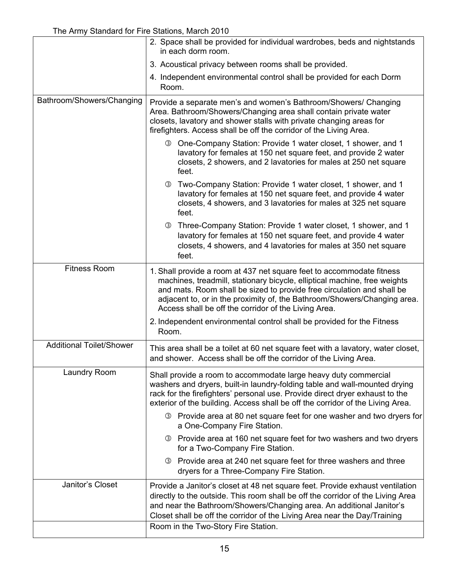|                                 | 2. Space shall be provided for individual wardrobes, beds and nightstands<br>in each dorm room.                                                                                                                                                                                                                                                                  |  |
|---------------------------------|------------------------------------------------------------------------------------------------------------------------------------------------------------------------------------------------------------------------------------------------------------------------------------------------------------------------------------------------------------------|--|
|                                 | 3. Acoustical privacy between rooms shall be provided.                                                                                                                                                                                                                                                                                                           |  |
|                                 | 4. Independent environmental control shall be provided for each Dorm<br>Room.                                                                                                                                                                                                                                                                                    |  |
| Bathroom/Showers/Changing       | Provide a separate men's and women's Bathroom/Showers/ Changing<br>Area. Bathroom/Showers/Changing area shall contain private water<br>closets, lavatory and shower stalls with private changing areas for<br>firefighters. Access shall be off the corridor of the Living Area.                                                                                 |  |
|                                 | 3 One-Company Station: Provide 1 water closet, 1 shower, and 1<br>lavatory for females at 150 net square feet, and provide 2 water<br>closets, 2 showers, and 2 lavatories for males at 250 net square<br>feet.                                                                                                                                                  |  |
|                                 | 3 Two-Company Station: Provide 1 water closet, 1 shower, and 1<br>lavatory for females at 150 net square feet, and provide 4 water<br>closets, 4 showers, and 3 lavatories for males at 325 net square<br>feet.                                                                                                                                                  |  |
|                                 | 3 Three-Company Station: Provide 1 water closet, 1 shower, and 1<br>lavatory for females at 150 net square feet, and provide 4 water<br>closets, 4 showers, and 4 lavatories for males at 350 net square<br>feet.                                                                                                                                                |  |
| <b>Fitness Room</b>             | 1. Shall provide a room at 437 net square feet to accommodate fitness<br>machines, treadmill, stationary bicycle, elliptical machine, free weights<br>and mats. Room shall be sized to provide free circulation and shall be<br>adjacent to, or in the proximity of, the Bathroom/Showers/Changing area.<br>Access shall be off the corridor of the Living Area. |  |
|                                 | 2. Independent environmental control shall be provided for the Fitness<br>Room.                                                                                                                                                                                                                                                                                  |  |
| <b>Additional Toilet/Shower</b> | This area shall be a toilet at 60 net square feet with a lavatory, water closet,<br>and shower. Access shall be off the corridor of the Living Area.                                                                                                                                                                                                             |  |
| Laundry Room                    | Shall provide a room to accommodate large heavy duty commercial<br>washers and dryers, built-in laundry-folding table and wall-mounted drying<br>rack for the firefighters' personal use. Provide direct dryer exhaust to the<br>exterior of the building. Access shall be off the corridor of the Living Area.                                                  |  |
|                                 | 3 Provide area at 80 net square feet for one washer and two dryers for<br>a One-Company Fire Station.                                                                                                                                                                                                                                                            |  |
|                                 | <b>3</b> Provide area at 160 net square feet for two washers and two dryers<br>for a Two-Company Fire Station.                                                                                                                                                                                                                                                   |  |
|                                 | Provide area at 240 net square feet for three washers and three<br>(3)<br>dryers for a Three-Company Fire Station.                                                                                                                                                                                                                                               |  |
| Janitor's Closet                | Provide a Janitor's closet at 48 net square feet. Provide exhaust ventilation<br>directly to the outside. This room shall be off the corridor of the Living Area<br>and near the Bathroom/Showers/Changing area. An additional Janitor's<br>Closet shall be off the corridor of the Living Area near the Day/Training                                            |  |
|                                 | Room in the Two-Story Fire Station.                                                                                                                                                                                                                                                                                                                              |  |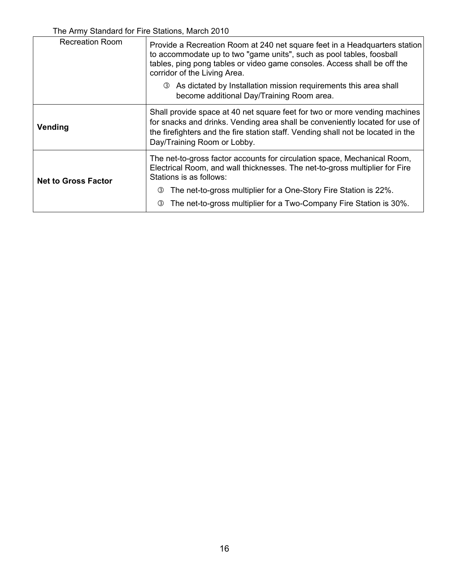| <b>Recreation Room</b>     | Provide a Recreation Room at 240 net square feet in a Headquarters station<br>to accommodate up to two "game units", such as pool tables, foosball<br>tables, ping pong tables or video game consoles. Access shall be off the<br>corridor of the Living Area.                |  |
|----------------------------|-------------------------------------------------------------------------------------------------------------------------------------------------------------------------------------------------------------------------------------------------------------------------------|--|
|                            | <b>3</b> As dictated by Installation mission requirements this area shall<br>become additional Day/Training Room area.                                                                                                                                                        |  |
| Vending                    | Shall provide space at 40 net square feet for two or more vending machines<br>for snacks and drinks. Vending area shall be conveniently located for use of<br>the firefighters and the fire station staff. Vending shall not be located in the<br>Day/Training Room or Lobby. |  |
| <b>Net to Gross Factor</b> | The net-to-gross factor accounts for circulation space, Mechanical Room,<br>Electrical Room, and wall thicknesses. The net-to-gross multiplier for Fire<br>Stations is as follows:                                                                                            |  |
|                            | The net-to-gross multiplier for a One-Story Fire Station is 22%.<br>(3)<br>The net-to-gross multiplier for a Two-Company Fire Station is 30%.<br>3                                                                                                                            |  |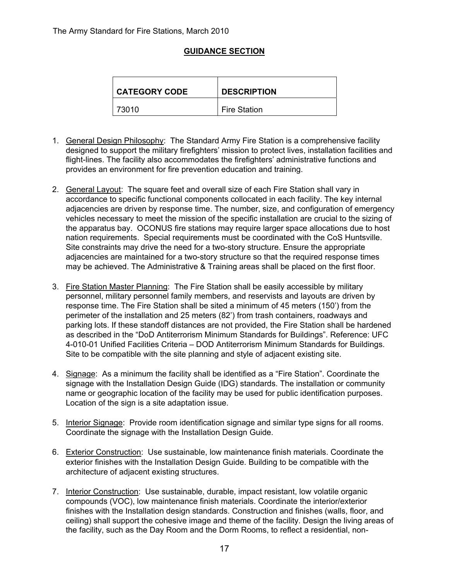### **GUIDANCE SECTION**

| <b>CATEGORY CODE</b> | <b>DESCRIPTION</b>  |
|----------------------|---------------------|
| 73010                | <b>Fire Station</b> |

- 1. General Design Philosophy: The Standard Army Fire Station is a comprehensive facility designed to support the military firefighters' mission to protect lives, installation facilities and flight-lines. The facility also accommodates the firefighters' administrative functions and provides an environment for fire prevention education and training.
- 2. General Layout: The square feet and overall size of each Fire Station shall vary in accordance to specific functional components collocated in each facility. The key internal adjacencies are driven by response time. The number, size, and configuration of emergency vehicles necessary to meet the mission of the specific installation are crucial to the sizing of the apparatus bay. OCONUS fire stations may require larger space allocations due to host nation requirements. Special requirements must be coordinated with the CoS Huntsville. Site constraints may drive the need for a two-story structure. Ensure the appropriate adjacencies are maintained for a two-story structure so that the required response times may be achieved. The Administrative & Training areas shall be placed on the first floor.
- 3. Fire Station Master Planning: The Fire Station shall be easily accessible by military personnel, military personnel family members, and reservists and layouts are driven by response time. The Fire Station shall be sited a minimum of 45 meters (150') from the perimeter of the installation and 25 meters (82') from trash containers, roadways and parking lots. If these standoff distances are not provided, the Fire Station shall be hardened as described in the "DoD Antiterrorism Minimum Standards for Buildings". Reference: UFC 4-010-01 Unified Facilities Criteria – DOD Antiterrorism Minimum Standards for Buildings. Site to be compatible with the site planning and style of adjacent existing site.
- 4. Signage: As a minimum the facility shall be identified as a "Fire Station". Coordinate the signage with the Installation Design Guide (IDG) standards. The installation or community name or geographic location of the facility may be used for public identification purposes. Location of the sign is a site adaptation issue.
- 5. Interior Signage: Provide room identification signage and similar type signs for all rooms. Coordinate the signage with the Installation Design Guide.
- 6. Exterior Construction: Use sustainable, low maintenance finish materials. Coordinate the exterior finishes with the Installation Design Guide. Building to be compatible with the architecture of adjacent existing structures.
- 7. Interior Construction: Use sustainable, durable, impact resistant, low volatile organic compounds (VOC), low maintenance finish materials. Coordinate the interior/exterior finishes with the Installation design standards. Construction and finishes (walls, floor, and ceiling) shall support the cohesive image and theme of the facility. Design the living areas of the facility, such as the Day Room and the Dorm Rooms, to reflect a residential, non-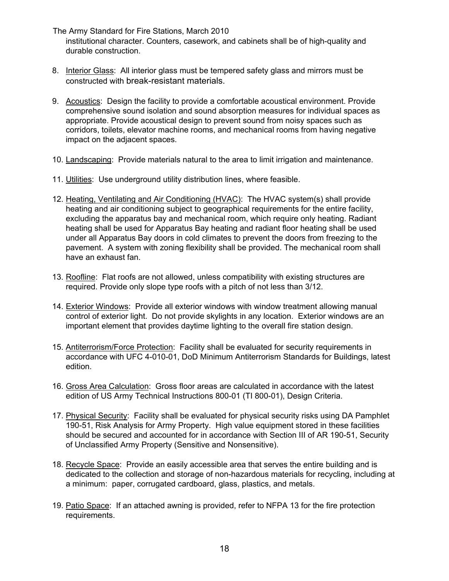The Army Standard for Fire Stations, March 2010 institutional character. Counters, casework, and cabinets shall be of high-quality and durable construction.

- 8. Interior Glass: All interior glass must be tempered safety glass and mirrors must be constructed with break-resistant materials.
- 9. Acoustics: Design the facility to provide a comfortable acoustical environment. Provide comprehensive sound isolation and sound absorption measures for individual spaces as appropriate. Provide acoustical design to prevent sound from noisy spaces such as corridors, toilets, elevator machine rooms, and mechanical rooms from having negative impact on the adjacent spaces.
- 10. Landscaping: Provide materials natural to the area to limit irrigation and maintenance.
- 11. Utilities: Use underground utility distribution lines, where feasible.
- 12. Heating, Ventilating and Air Conditioning (HVAC): The HVAC system(s) shall provide heating and air conditioning subject to geographical requirements for the entire facility, excluding the apparatus bay and mechanical room, which require only heating. Radiant heating shall be used for Apparatus Bay heating and radiant floor heating shall be used under all Apparatus Bay doors in cold climates to prevent the doors from freezing to the pavement. A system with zoning flexibility shall be provided. The mechanical room shall have an exhaust fan.
- 13. Roofline: Flat roofs are not allowed, unless compatibility with existing structures are required. Provide only slope type roofs with a pitch of not less than 3/12.
- 14. Exterior Windows: Provide all exterior windows with window treatment allowing manual control of exterior light. Do not provide skylights in any location. Exterior windows are an important element that provides daytime lighting to the overall fire station design.
- 15. Antiterrorism/Force Protection: Facility shall be evaluated for security requirements in accordance with UFC 4-010-01, DoD Minimum Antiterrorism Standards for Buildings, latest edition.
- 16. Gross Area Calculation: Gross floor areas are calculated in accordance with the latest edition of US Army Technical Instructions 800-01 (TI 800-01), Design Criteria.
- 17. Physical Security: Facility shall be evaluated for physical security risks using DA Pamphlet 190-51, Risk Analysis for Army Property. High value equipment stored in these facilities should be secured and accounted for in accordance with Section III of AR 190-51, Security of Unclassified Army Property (Sensitive and Nonsensitive).
- 18. Recycle Space: Provide an easily accessible area that serves the entire building and is dedicated to the collection and storage of non-hazardous materials for recycling, including at a minimum: paper, corrugated cardboard, glass, plastics, and metals.
- 19. Patio Space: If an attached awning is provided, refer to NFPA 13 for the fire protection requirements.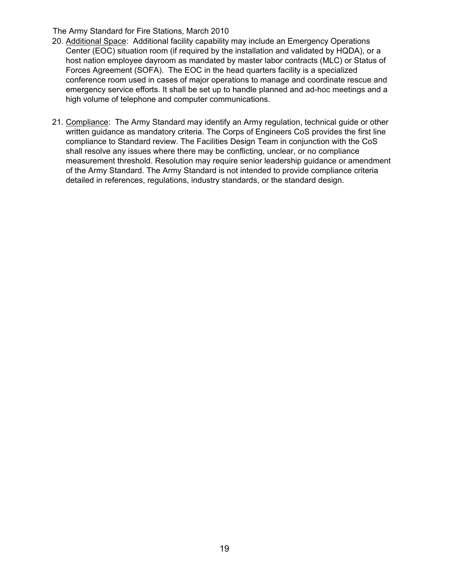- 20. Additional Space: Additional facility capability may include an Emergency Operations Center (EOC) situation room (if required by the installation and validated by HQDA), or a host nation employee dayroom as mandated by master labor contracts (MLC) or Status of Forces Agreement (SOFA). The EOC in the head quarters facility is a specialized conference room used in cases of major operations to manage and coordinate rescue and emergency service efforts. It shall be set up to handle planned and ad-hoc meetings and a high volume of telephone and computer communications.
- 21. Compliance: The Army Standard may identify an Army regulation, technical guide or other written guidance as mandatory criteria. The Corps of Engineers CoS provides the first line compliance to Standard review. The Facilities Design Team in conjunction with the CoS shall resolve any issues where there may be conflicting, unclear, or no compliance measurement threshold. Resolution may require senior leadership guidance or amendment of the Army Standard. The Army Standard is not intended to provide compliance criteria detailed in references, regulations, industry standards, or the standard design.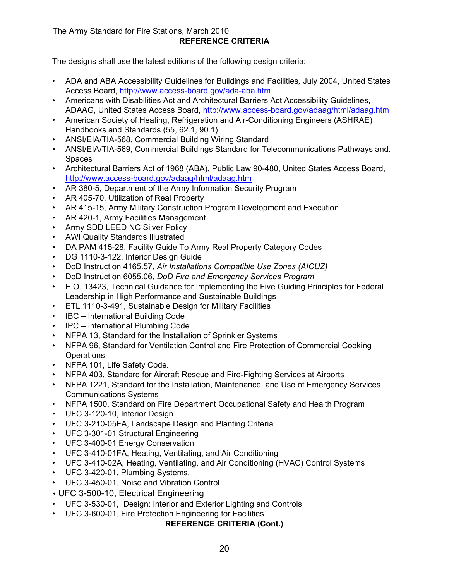### The Army Standard for Fire Stations, March 2010 **REFERENCE CRITERIA**

The designs shall use the latest editions of the following design criteria:

- ADA and ABA Accessibility Guidelines for Buildings and Facilities*,* July 2004, United States Access Board, http://www.access-board.gov/ada-aba.htm
- Americans with Disabilities Act and Architectural Barriers Act Accessibility Guidelines, ADAAG, United States Access Board, http://www.access-board.gov/adaag/html/adaag.htm
- American Society of Heating, Refrigeration and Air-Conditioning Engineers (ASHRAE) Handbooks and Standards (55, 62.1, 90.1)
- ANSI/EIA/TIA-568, Commercial Building Wiring Standard
- ANSI/EIA/TIA-569, Commercial Buildings Standard for Telecommunications Pathways and. **Spaces**
- Architectural Barriers Act of 1968 (ABA), Public Law 90-480, United States Access Board, http://www.access-board.gov/adaag/html/adaag.htm
- AR 380-5, Department of the Army Information Security Program
- AR 405-70, Utilization of Real Property
- AR 415-15, Army Military Construction Program Development and Execution
- AR 420-1, Army Facilities Management
- Army SDD LEED NC Silver Policy
- AWI Quality Standards Illustrated
- DA PAM 415-28, Facility Guide To Army Real Property Category Codes
- DG 1110-3-122, Interior Design Guide
- DoD Instruction 4165.57, *Air Installations Compatible Use Zones (AICUZ)*
- DoD Instruction 6055.06, *DoD Fire and Emergency Services Program*
- E.O. 13423, Technical Guidance for Implementing the Five Guiding Principles for Federal Leadership in High Performance and Sustainable Buildings
- ETL 1110-3-491, Sustainable Design for Military Facilities
- IBC International Building Code
- IPC International Plumbing Code
- NFPA 13, Standard for the Installation of Sprinkler Systems
- NFPA 96, Standard for Ventilation Control and Fire Protection of Commercial Cooking **Operations**
- NFPA 101, Life Safety Code*.*
- NFPA 403, Standard for Aircraft Rescue and Fire-Fighting Services at Airports
- NFPA 1221, Standard for the Installation, Maintenance, and Use of Emergency Services Communications Systems
- NFPA 1500, Standard on Fire Department Occupational Safety and Health Program
- UFC 3-120-10, Interior Design
- UFC 3-210-05FA, Landscape Design and Planting Criteria
- UFC 3-301-01 Structural Engineering
- UFC 3-400-01 Energy Conservation
- UFC 3-410-01FA, Heating, Ventilating, and Air Conditioning
- UFC 3-410-02A, Heating, Ventilating, and Air Conditioning (HVAC) Control Systems
- UFC 3-420-01, Plumbing Systems*.*
- UFC 3-450-01, Noise and Vibration Control
- UFC 3-500-10, Electrical Engineering
- UFC 3-530-01, Design: Interior and Exterior Lighting and Controls
- UFC 3-600-01, Fire Protection Engineering for Facilities

#### **REFERENCE CRITERIA (Cont.)**